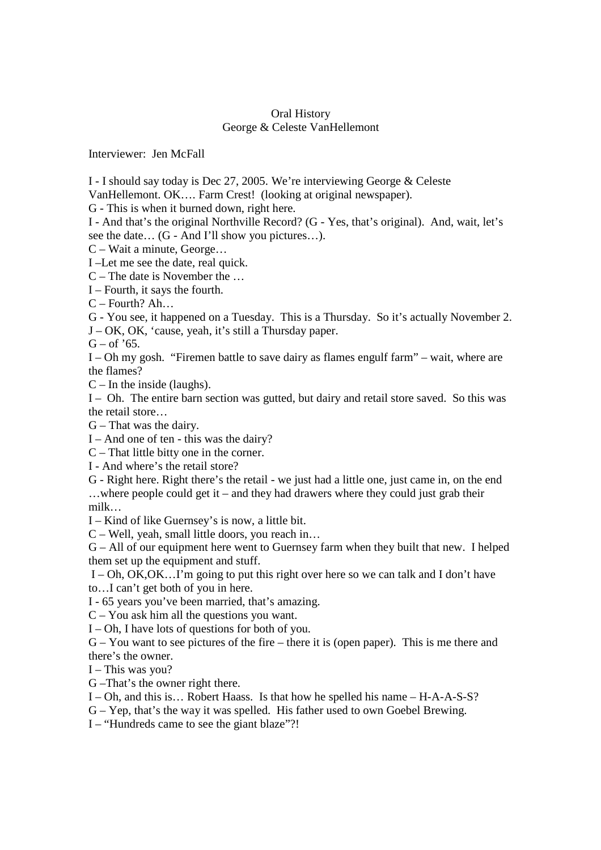## Oral History George & Celeste VanHellemont

Interviewer: Jen McFall

I - I should say today is Dec 27, 2005. We're interviewing George & Celeste

VanHellemont. OK…. Farm Crest! (looking at original newspaper).

G - This is when it burned down, right here.

I - And that's the original Northville Record? (G - Yes, that's original). And, wait, let's see the date… (G - And I'll show you pictures…).

C – Wait a minute, George…

I –Let me see the date, real quick.

C – The date is November the …

I – Fourth, it says the fourth.

C – Fourth? Ah…

G - You see, it happened on a Tuesday. This is a Thursday. So it's actually November 2.

J – OK, OK, 'cause, yeah, it's still a Thursday paper.

 $G - of '65$ .

I – Oh my gosh. "Firemen battle to save dairy as flames engulf farm" – wait, where are the flames?

 $C$  – In the inside (laughs).

I – Oh. The entire barn section was gutted, but dairy and retail store saved. So this was the retail store…

G – That was the dairy.

I – And one of ten - this was the dairy?

C – That little bitty one in the corner.

I - And where's the retail store?

G - Right here. Right there's the retail - we just had a little one, just came in, on the end …where people could get it – and they had drawers where they could just grab their milk…

I – Kind of like Guernsey's is now, a little bit.

C – Well, yeah, small little doors, you reach in…

G – All of our equipment here went to Guernsey farm when they built that new. I helped them set up the equipment and stuff.

 I – Oh, OK,OK…I'm going to put this right over here so we can talk and I don't have to…I can't get both of you in here.

I - 65 years you've been married, that's amazing.

C – You ask him all the questions you want.

I – Oh, I have lots of questions for both of you.

G – You want to see pictures of the fire – there it is (open paper). This is me there and there's the owner.

 $I$  – This was you?

G –That's the owner right there.

I – Oh, and this is… Robert Haass. Is that how he spelled his name – H-A-A-S-S?

G – Yep, that's the way it was spelled. His father used to own Goebel Brewing.

I – "Hundreds came to see the giant blaze"?!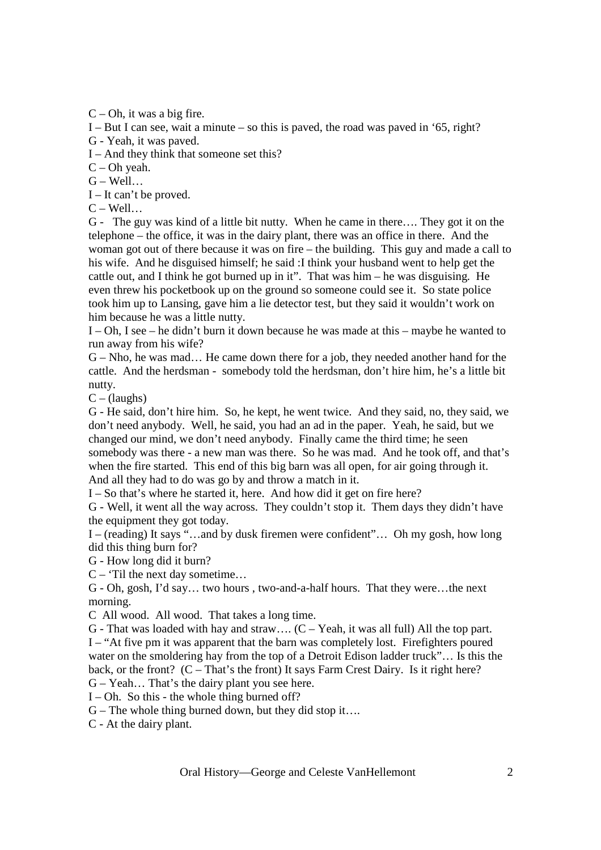$C$  – Oh, it was a big fire.

I – But I can see, wait a minute – so this is paved, the road was paved in '65, right?

G - Yeah, it was paved.

I – And they think that someone set this?

C – Oh yeah.

 $G - Well...$ 

I – It can't be proved.

 $C - Well...$ 

G - The guy was kind of a little bit nutty. When he came in there…. They got it on the telephone – the office, it was in the dairy plant, there was an office in there. And the woman got out of there because it was on fire – the building. This guy and made a call to his wife. And he disguised himself; he said :I think your husband went to help get the cattle out, and I think he got burned up in it". That was him – he was disguising. He even threw his pocketbook up on the ground so someone could see it. So state police took him up to Lansing, gave him a lie detector test, but they said it wouldn't work on him because he was a little nutty.

I – Oh, I see – he didn't burn it down because he was made at this – maybe he wanted to run away from his wife?

G – Nho, he was mad… He came down there for a job, they needed another hand for the cattle. And the herdsman - somebody told the herdsman, don't hire him, he's a little bit nutty.

 $C - ($ laughs $)$ 

G - He said, don't hire him. So, he kept, he went twice. And they said, no, they said, we don't need anybody. Well, he said, you had an ad in the paper. Yeah, he said, but we changed our mind, we don't need anybody. Finally came the third time; he seen somebody was there - a new man was there. So he was mad. And he took off, and that's when the fire started. This end of this big barn was all open, for air going through it. And all they had to do was go by and throw a match in it.

I – So that's where he started it, here. And how did it get on fire here?

G - Well, it went all the way across. They couldn't stop it. Them days they didn't have the equipment they got today.

I – (reading) It says "…and by dusk firemen were confident"… Oh my gosh, how long did this thing burn for?

G - How long did it burn?

 $C -$  Til the next day sometime...

G - Oh, gosh, I'd say… two hours , two-and-a-half hours. That they were…the next morning.

C All wood. All wood. That takes a long time.

G - That was loaded with hay and straw....  $(C - Yeah)$ , it was all full) All the top part. I – "At five pm it was apparent that the barn was completely lost. Firefighters poured water on the smoldering hay from the top of a Detroit Edison ladder truck"… Is this the back, or the front? (C – That's the front) It says Farm Crest Dairy. Is it right here? G – Yeah… That's the dairy plant you see here.

I – Oh. So this - the whole thing burned off?

 $G$  – The whole thing burned down, but they did stop it....

C - At the dairy plant.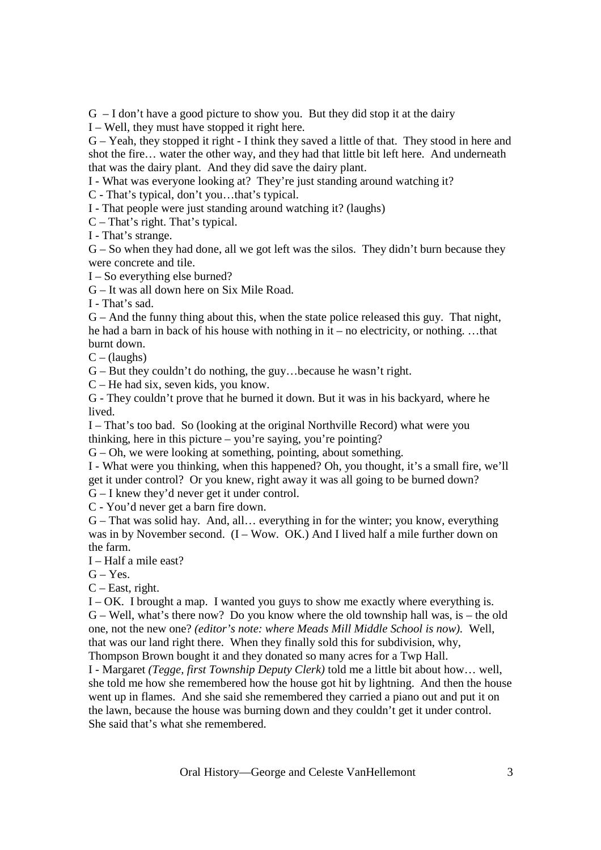G – I don't have a good picture to show you. But they did stop it at the dairy

I – Well, they must have stopped it right here.

G – Yeah, they stopped it right - I think they saved a little of that. They stood in here and shot the fire… water the other way, and they had that little bit left here. And underneath that was the dairy plant. And they did save the dairy plant.

I - What was everyone looking at? They're just standing around watching it?

C - That's typical, don't you…that's typical.

I - That people were just standing around watching it? (laughs)

C – That's right. That's typical.

I - That's strange.

 $G - So$  when they had done, all we got left was the silos. They didn't burn because they were concrete and tile.

I – So everything else burned?

G – It was all down here on Six Mile Road.

I - That's sad.

G – And the funny thing about this, when the state police released this guy. That night, he had a barn in back of his house with nothing in it – no electricity, or nothing. …that burnt down.

 $C - ($ laughs $)$ 

G – But they couldn't do nothing, the guy…because he wasn't right.

C – He had six, seven kids, you know.

G - They couldn't prove that he burned it down. But it was in his backyard, where he lived.

I – That's too bad. So (looking at the original Northville Record) what were you thinking, here in this picture – you're saying, you're pointing?

 $G - Oh$ , we were looking at something, pointing, about something.

I - What were you thinking, when this happened? Oh, you thought, it's a small fire, we'll get it under control? Or you knew, right away it was all going to be burned down?

G – I knew they'd never get it under control.

C - You'd never get a barn fire down.

G – That was solid hay. And, all… everything in for the winter; you know, everything was in by November second.  $(I - Wow. OK.)$  And I lived half a mile further down on the farm.

I – Half a mile east?

 $G - Yes.$ 

C – East, right.

I – OK. I brought a map. I wanted you guys to show me exactly where everything is. G – Well, what's there now? Do you know where the old township hall was, is – the old one, not the new one? *(editor's note: where Meads Mill Middle School is now).* Well, that was our land right there. When they finally sold this for subdivision, why, Thompson Brown bought it and they donated so many acres for a Twp Hall.

I - Margaret *(Tegge, first Township Deputy Clerk)* told me a little bit about how… well, she told me how she remembered how the house got hit by lightning. And then the house went up in flames. And she said she remembered they carried a piano out and put it on the lawn, because the house was burning down and they couldn't get it under control. She said that's what she remembered.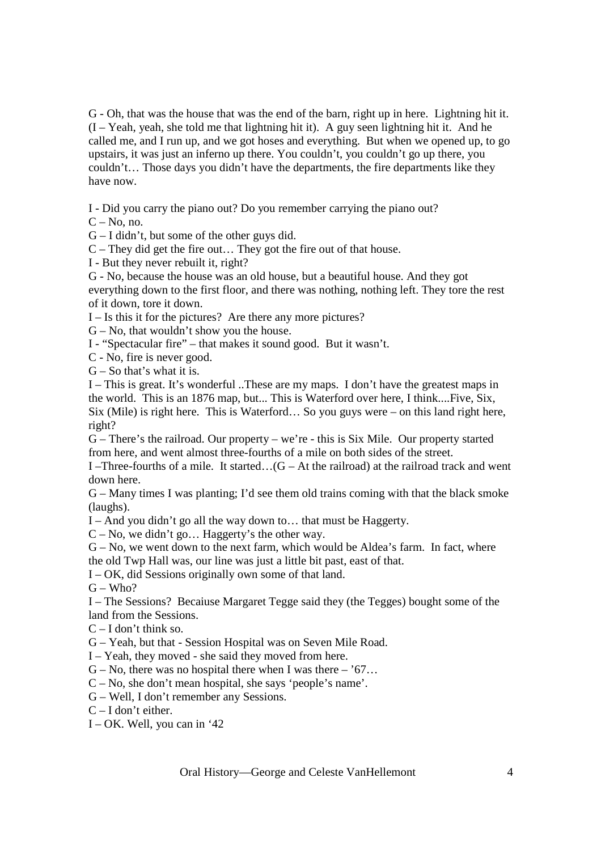G - Oh, that was the house that was the end of the barn, right up in here. Lightning hit it.  $(I - Yeah$ , yeah, she told me that lightning hit it). A guy seen lightning hit it. And he called me, and I run up, and we got hoses and everything. But when we opened up, to go upstairs, it was just an inferno up there. You couldn't, you couldn't go up there, you couldn't… Those days you didn't have the departments, the fire departments like they have now.

I - Did you carry the piano out? Do you remember carrying the piano out?

 $C - No$ , no.

G – I didn't, but some of the other guys did.

C – They did get the fire out… They got the fire out of that house.

I - But they never rebuilt it, right?

G - No, because the house was an old house, but a beautiful house. And they got everything down to the first floor, and there was nothing, nothing left. They tore the rest of it down, tore it down.

I – Is this it for the pictures? Are there any more pictures?

G – No, that wouldn't show you the house.

I - "Spectacular fire" – that makes it sound good. But it wasn't.

C - No, fire is never good.

 $G - So$  that's what it is.

I – This is great. It's wonderful ..These are my maps. I don't have the greatest maps in the world. This is an 1876 map, but... This is Waterford over here, I think....Five, Six, Six (Mile) is right here. This is Waterford… So you guys were – on this land right here, right?

G – There's the railroad. Our property – we're - this is Six Mile. Our property started from here, and went almost three-fourths of a mile on both sides of the street.

I –Three-fourths of a mile. It started... $(G - At the railroad)$  at the railroad track and went down here.

G – Many times I was planting; I'd see them old trains coming with that the black smoke (laughs).

I – And you didn't go all the way down to… that must be Haggerty.

C – No, we didn't go… Haggerty's the other way.

 $G - No$ , we went down to the next farm, which would be Aldea's farm. In fact, where the old Twp Hall was, our line was just a little bit past, east of that.

I – OK, did Sessions originally own some of that land.

 $G - Who?$ 

I – The Sessions? Becaiuse Margaret Tegge said they (the Tegges) bought some of the land from the Sessions.

 $C - I$  don't think so.

G – Yeah, but that - Session Hospital was on Seven Mile Road.

I – Yeah, they moved - she said they moved from here.

 $G - No$ , there was no hospital there when I was there – '67...

C – No, she don't mean hospital, she says 'people's name'.

G – Well, I don't remember any Sessions.

 $C - I$  don't either.

 $I - OK$ . Well, you can in '42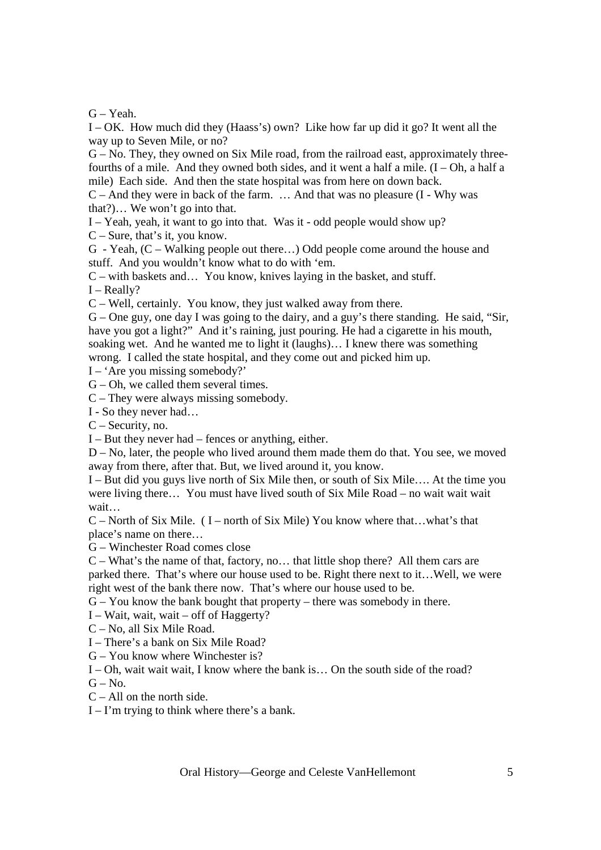G – Yeah.

I – OK. How much did they (Haass's) own? Like how far up did it go? It went all the way up to Seven Mile, or no?

G – No. They, they owned on Six Mile road, from the railroad east, approximately threefourths of a mile. And they owned both sides, and it went a half a mile.  $(I - Oh$ , a half a mile) Each side. And then the state hospital was from here on down back.

 $C$  – And they were in back of the farm.  $\ldots$  And that was no pleasure  $(I - Why)$  was that?)… We won't go into that.

I – Yeah, yeah, it want to go into that. Was it - odd people would show up?

C – Sure, that's it, you know.

G - Yeah, (C – Walking people out there…) Odd people come around the house and stuff. And you wouldn't know what to do with 'em.

C – with baskets and… You know, knives laying in the basket, and stuff.

 $I - Really?$ 

C – Well, certainly. You know, they just walked away from there.

G – One guy, one day I was going to the dairy, and a guy's there standing. He said, "Sir, have you got a light?" And it's raining, just pouring. He had a cigarette in his mouth, soaking wet. And he wanted me to light it (laughs)… I knew there was something wrong. I called the state hospital, and they come out and picked him up.

I – 'Are you missing somebody?'

 $G$  – Oh, we called them several times.

C – They were always missing somebody.

I - So they never had…

C – Security, no.

I – But they never had – fences or anything, either.

D – No, later, the people who lived around them made them do that. You see, we moved away from there, after that. But, we lived around it, you know.

I – But did you guys live north of Six Mile then, or south of Six Mile…. At the time you were living there… You must have lived south of Six Mile Road – no wait wait wait wait…

 $C$  – North of Six Mile. (I – north of Six Mile) You know where that...what's that place's name on there…

G – Winchester Road comes close

C – What's the name of that, factory, no… that little shop there? All them cars are parked there. That's where our house used to be. Right there next to it…Well, we were right west of the bank there now. That's where our house used to be.

G – You know the bank bought that property – there was somebody in there.

I – Wait, wait, wait – off of Haggerty?

C – No, all Six Mile Road.

I – There's a bank on Six Mile Road?

G – You know where Winchester is?

I – Oh, wait wait wait, I know where the bank is… On the south side of the road?

 $G - No$ .

 $C - All$  on the north side.

 $I - I'm$  trying to think where there's a bank.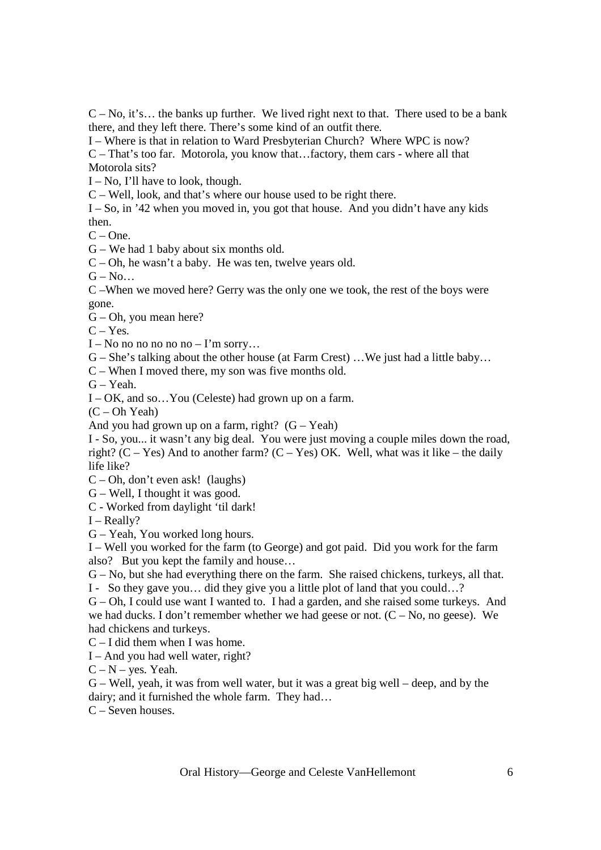$C - No$ , it's... the banks up further. We lived right next to that. There used to be a bank there, and they left there. There's some kind of an outfit there.

I – Where is that in relation to Ward Presbyterian Church? Where WPC is now?

C – That's too far. Motorola, you know that…factory, them cars - where all that Motorola sits?

I – No, I'll have to look, though.

C – Well, look, and that's where our house used to be right there.

 $I - So$ , in '42 when you moved in, you got that house. And you didn't have any kids then.

 $C - One$ .

G – We had 1 baby about six months old.

C – Oh, he wasn't a baby. He was ten, twelve years old.

 $G - No...$ 

C –When we moved here? Gerry was the only one we took, the rest of the boys were gone.

G – Oh, you mean here?

 $C - Yes.$ 

I – No no no no no no – I'm sorry...

G – She's talking about the other house (at Farm Crest) …We just had a little baby…

C – When I moved there, my son was five months old.

 $G - Yeah$ .

I – OK, and so…You (Celeste) had grown up on a farm.

(C – Oh Yeah)

And you had grown up on a farm, right?  $(G - Yeah)$ 

I - So, you... it wasn't any big deal. You were just moving a couple miles down the road, right?  $(C - Yes)$  And to another farm?  $(C - Yes)$  OK. Well, what was it like – the daily life like?

C – Oh, don't even ask! (laughs)

G – Well, I thought it was good.

C - Worked from daylight 'til dark!

 $I - Really?$ 

G – Yeah, You worked long hours.

I – Well you worked for the farm (to George) and got paid. Did you work for the farm also? But you kept the family and house…

G – No, but she had everything there on the farm. She raised chickens, turkeys, all that.

I - So they gave you… did they give you a little plot of land that you could…?

G – Oh, I could use want I wanted to. I had a garden, and she raised some turkeys. And we had ducks. I don't remember whether we had geese or not.  $(C - No, no geese)$ . We had chickens and turkeys.

C – I did them when I was home.

I – And you had well water, right?

 $C - N - \text{ves.}$  Yeah.

G – Well, yeah, it was from well water, but it was a great big well – deep, and by the dairy; and it furnished the whole farm. They had…

C – Seven houses.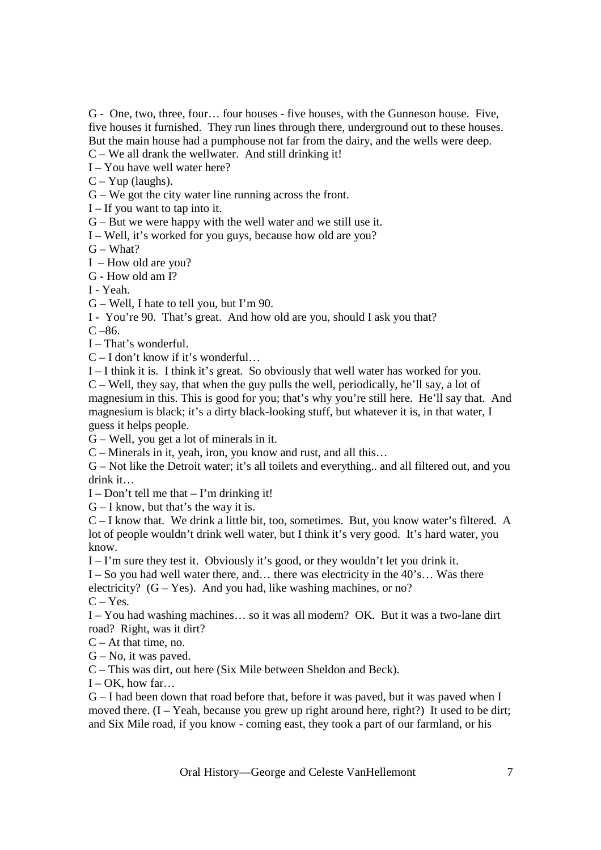G - One, two, three, four… four houses - five houses, with the Gunneson house. Five, five houses it furnished. They run lines through there, underground out to these houses. But the main house had a pumphouse not far from the dairy, and the wells were deep.  $C - We$  all drank the wellwater. And still drinking it!

I – You have well water here?

 $C - Yup$  (laughs).

G – We got the city water line running across the front.

 $I - If you want to tap into it.$ 

G – But we were happy with the well water and we still use it.

I – Well, it's worked for you guys, because how old are you?

 $G - What?$ 

I – How old are you?

G - How old am I?

I - Yeah.

G – Well, I hate to tell you, but I'm 90.

I - You're 90. That's great. And how old are you, should I ask you that?

 $C - 86.$ 

I – That's wonderful.

C – I don't know if it's wonderful…

I – I think it is. I think it's great. So obviously that well water has worked for you.

C – Well, they say, that when the guy pulls the well, periodically, he'll say, a lot of magnesium in this. This is good for you; that's why you're still here. He'll say that. And magnesium is black; it's a dirty black-looking stuff, but whatever it is, in that water, I guess it helps people.

G – Well, you get a lot of minerals in it.

C – Minerals in it, yeah, iron, you know and rust, and all this…

G – Not like the Detroit water; it's all toilets and everything.. and all filtered out, and you drink it…

 $I - Don't tell me that – I'm drinking it!$ 

 $G - I$  know, but that's the way it is.

C – I know that. We drink a little bit, too, sometimes. But, you know water's filtered. A lot of people wouldn't drink well water, but I think it's very good. It's hard water, you know.

I – I'm sure they test it. Obviously it's good, or they wouldn't let you drink it.

I – So you had well water there, and… there was electricity in the 40's… Was there electricity?  $(G - Yes)$ . And you had, like washing machines, or no?  $C - Yes.$ 

I – You had washing machines… so it was all modern? OK. But it was a two-lane dirt road? Right, was it dirt?

 $C - At$  that time, no.

 $G - No$ , it was paved.

C – This was dirt, out here (Six Mile between Sheldon and Beck).

 $I - OK$ , how far...

G – I had been down that road before that, before it was paved, but it was paved when I moved there.  $(I - Yeah$ , because you grew up right around here, right?) It used to be dirt; and Six Mile road, if you know - coming east, they took a part of our farmland, or his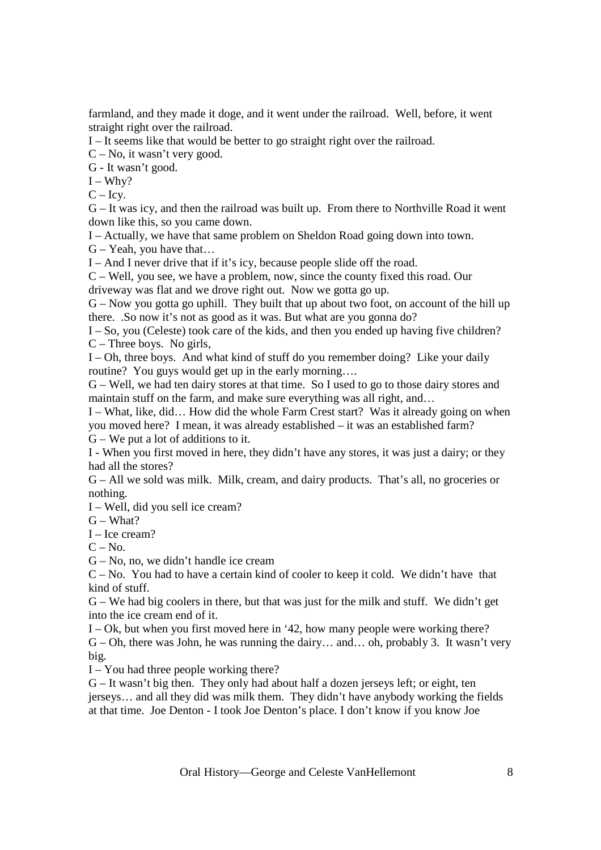farmland, and they made it doge, and it went under the railroad. Well, before, it went straight right over the railroad.

I – It seems like that would be better to go straight right over the railroad.

C – No, it wasn't very good.

G - It wasn't good.

 $I - Why?$ 

 $C - Icv.$ 

G – It was icy, and then the railroad was built up. From there to Northville Road it went down like this, so you came down.

I – Actually, we have that same problem on Sheldon Road going down into town.

 $G - Y$ eah, you have that...

I – And I never drive that if it's icy, because people slide off the road.

C – Well, you see, we have a problem, now, since the county fixed this road. Our driveway was flat and we drove right out. Now we gotta go up.

G – Now you gotta go uphill. They built that up about two foot, on account of the hill up there. .So now it's not as good as it was. But what are you gonna do?

I – So, you (Celeste) took care of the kids, and then you ended up having five children? C – Three boys. No girls,

I – Oh, three boys. And what kind of stuff do you remember doing? Like your daily routine? You guys would get up in the early morning….

G – Well, we had ten dairy stores at that time. So I used to go to those dairy stores and maintain stuff on the farm, and make sure everything was all right, and…

I – What, like, did… How did the whole Farm Crest start? Was it already going on when you moved here? I mean, it was already established – it was an established farm? G – We put a lot of additions to it.

I - When you first moved in here, they didn't have any stores, it was just a dairy; or they had all the stores?

G – All we sold was milk. Milk, cream, and dairy products. That's all, no groceries or nothing.

I – Well, did you sell ice cream?

 $G - What?$ 

I – Ice cream?

 $C - No$ .

G – No, no, we didn't handle ice cream

 $C - No$ . You had to have a certain kind of cooler to keep it cold. We didn't have that kind of stuff.

G – We had big coolers in there, but that was just for the milk and stuff. We didn't get into the ice cream end of it.

I – Ok, but when you first moved here in '42, how many people were working there? G – Oh, there was John, he was running the dairy… and… oh, probably 3. It wasn't very big.

I – You had three people working there?

G – It wasn't big then. They only had about half a dozen jerseys left; or eight, ten jerseys… and all they did was milk them. They didn't have anybody working the fields at that time. Joe Denton - I took Joe Denton's place. I don't know if you know Joe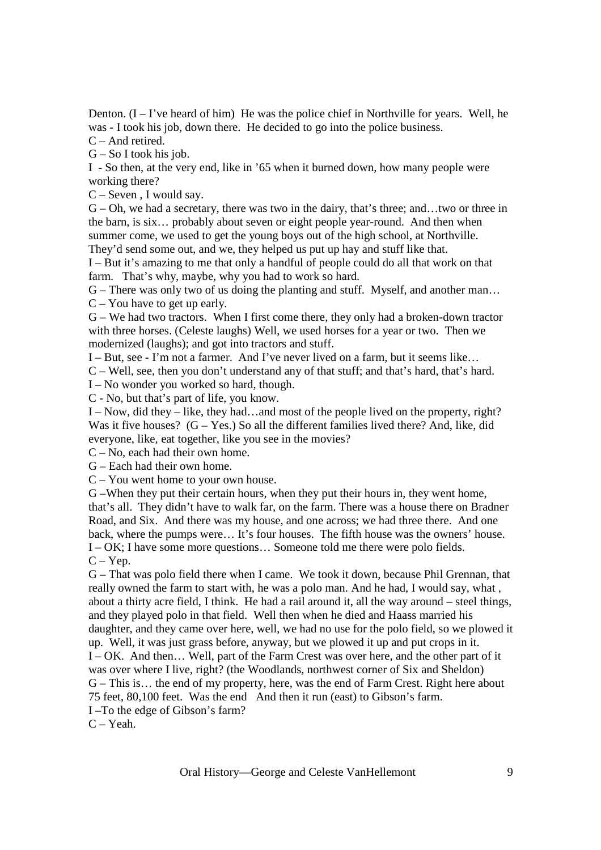Denton.  $(I - I'$ ve heard of him) He was the police chief in Northville for years. Well, he was - I took his job, down there. He decided to go into the police business.

C – And retired.

 $G - So I$  took his job.

I - So then, at the very end, like in '65 when it burned down, how many people were working there?

C – Seven , I would say.

G – Oh, we had a secretary, there was two in the dairy, that's three; and…two or three in the barn, is six… probably about seven or eight people year-round. And then when summer come, we used to get the young boys out of the high school, at Northville. They'd send some out, and we, they helped us put up hay and stuff like that.

I – But it's amazing to me that only a handful of people could do all that work on that farm. That's why, maybe, why you had to work so hard.

G – There was only two of us doing the planting and stuff. Myself, and another man…

C – You have to get up early.

G – We had two tractors. When I first come there, they only had a broken-down tractor with three horses. (Celeste laughs) Well, we used horses for a year or two. Then we modernized (laughs); and got into tractors and stuff.

I – But, see - I'm not a farmer. And I've never lived on a farm, but it seems like…

C – Well, see, then you don't understand any of that stuff; and that's hard, that's hard.

I – No wonder you worked so hard, though.

C - No, but that's part of life, you know.

I – Now, did they – like, they had…and most of the people lived on the property, right? Was it five houses?  $(G - Yes.)$  So all the different families lived there? And, like, did everyone, like, eat together, like you see in the movies?

C – No, each had their own home.

G – Each had their own home.

C – You went home to your own house.

G –When they put their certain hours, when they put their hours in, they went home, that's all. They didn't have to walk far, on the farm. There was a house there on Bradner Road, and Six. And there was my house, and one across; we had three there. And one back, where the pumps were… It's four houses. The fifth house was the owners' house. I – OK; I have some more questions… Someone told me there were polo fields.

 $C - Yep.$ 

G – That was polo field there when I came. We took it down, because Phil Grennan, that really owned the farm to start with, he was a polo man. And he had, I would say, what , about a thirty acre field, I think. He had a rail around it, all the way around – steel things, and they played polo in that field. Well then when he died and Haass married his daughter, and they came over here, well, we had no use for the polo field, so we plowed it up. Well, it was just grass before, anyway, but we plowed it up and put crops in it. I – OK. And then… Well, part of the Farm Crest was over here, and the other part of it was over where I live, right? (the Woodlands, northwest corner of Six and Sheldon) G – This is… the end of my property, here, was the end of Farm Crest. Right here about 75 feet, 80,100 feet. Was the end And then it run (east) to Gibson's farm.

I –To the edge of Gibson's farm?

C – Yeah.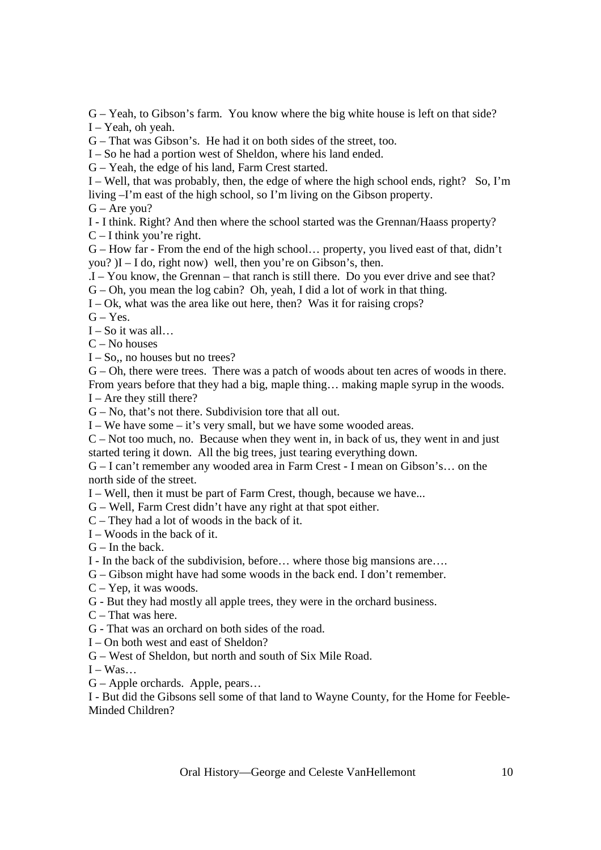G – Yeah, to Gibson's farm. You know where the big white house is left on that side? I – Yeah, oh yeah.

G – That was Gibson's. He had it on both sides of the street, too.

I – So he had a portion west of Sheldon, where his land ended.

G – Yeah, the edge of his land, Farm Crest started.

I – Well, that was probably, then, the edge of where the high school ends, right? So, I'm living –I'm east of the high school, so I'm living on the Gibson property.

 $G -$ Are you?

I - I think. Right? And then where the school started was the Grennan/Haass property?

 $C - I$  think you're right.

G – How far - From the end of the high school… property, you lived east of that, didn't you?  $I-I$  do, right now) well, then you're on Gibson's, then.

.I – You know, the Grennan – that ranch is still there. Do you ever drive and see that?

G – Oh, you mean the log cabin? Oh, yeah, I did a lot of work in that thing.

I – Ok, what was the area like out here, then? Was it for raising crops?

 $G - Yes$ .

 $I - So$  it was all...

C – No houses

I – So,, no houses but no trees?

G – Oh, there were trees. There was a patch of woods about ten acres of woods in there. From years before that they had a big, maple thing… making maple syrup in the woods.

 $I -$  Are they still there?

G – No, that's not there. Subdivision tore that all out.

I – We have some – it's very small, but we have some wooded areas.

 $C$  – Not too much, no. Because when they went in, in back of us, they went in and just started tering it down. All the big trees, just tearing everything down.

G – I can't remember any wooded area in Farm Crest - I mean on Gibson's… on the north side of the street.

I – Well, then it must be part of Farm Crest, though, because we have...

G – Well, Farm Crest didn't have any right at that spot either.

C – They had a lot of woods in the back of it.

I – Woods in the back of it.

 $G$  – In the back.

I - In the back of the subdivision, before… where those big mansions are….

G – Gibson might have had some woods in the back end. I don't remember.

C – Yep, it was woods.

G - But they had mostly all apple trees, they were in the orchard business.

 $C$  – That was here.

G - That was an orchard on both sides of the road.

I – On both west and east of Sheldon?

G – West of Sheldon, but north and south of Six Mile Road.

 $I - Was...$ 

G – Apple orchards. Apple, pears…

I - But did the Gibsons sell some of that land to Wayne County, for the Home for Feeble-Minded Children?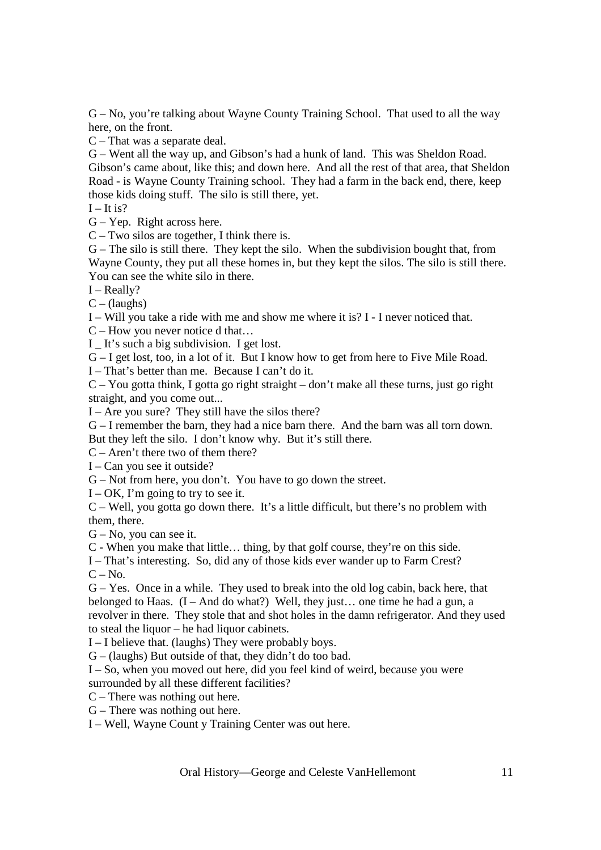G – No, you're talking about Wayne County Training School. That used to all the way here, on the front.

C – That was a separate deal.

G – Went all the way up, and Gibson's had a hunk of land. This was Sheldon Road. Gibson's came about, like this; and down here. And all the rest of that area, that Sheldon Road - is Wayne County Training school. They had a farm in the back end, there, keep those kids doing stuff. The silo is still there, yet.

 $I - It$  is?

G – Yep. Right across here.

C – Two silos are together, I think there is.

G – The silo is still there. They kept the silo. When the subdivision bought that, from Wayne County, they put all these homes in, but they kept the silos. The silo is still there. You can see the white silo in there.

I – Really?

 $C - ($ laughs $)$ 

I – Will you take a ride with me and show me where it is? I - I never noticed that.

C – How you never notice d that…

I \_ It's such a big subdivision. I get lost.

G – I get lost, too, in a lot of it. But I know how to get from here to Five Mile Road.

I – That's better than me. Because I can't do it.

C – You gotta think, I gotta go right straight – don't make all these turns, just go right straight, and you come out...

I – Are you sure? They still have the silos there?

G – I remember the barn, they had a nice barn there. And the barn was all torn down. But they left the silo. I don't know why. But it's still there.

C – Aren't there two of them there?

I – Can you see it outside?

G – Not from here, you don't. You have to go down the street.

 $I - OK$ , I'm going to try to see it.

C – Well, you gotta go down there. It's a little difficult, but there's no problem with them, there.

G – No, you can see it.

C - When you make that little… thing, by that golf course, they're on this side.

I – That's interesting. So, did any of those kids ever wander up to Farm Crest?

 $C - No.$ 

G – Yes. Once in a while. They used to break into the old log cabin, back here, that belonged to Haas.  $(I - And do what?)$  Well, they just... one time he had a gun, a revolver in there. They stole that and shot holes in the damn refrigerator. And they used to steal the liquor – he had liquor cabinets.

I – I believe that. (laughs) They were probably boys.

 $G - ($ laughs) But outside of that, they didn't do too bad.

I – So, when you moved out here, did you feel kind of weird, because you were surrounded by all these different facilities?

C – There was nothing out here.

G – There was nothing out here.

I – Well, Wayne Count y Training Center was out here.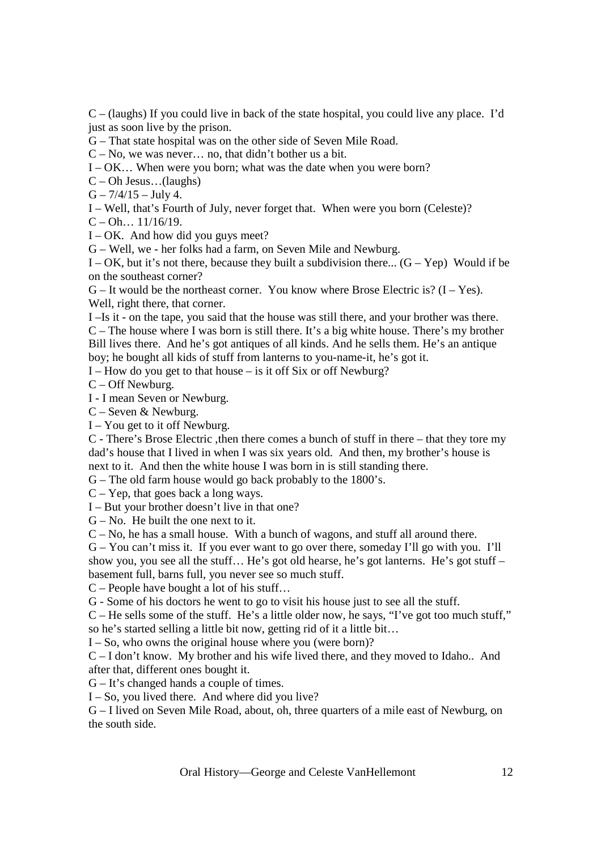C – (laughs) If you could live in back of the state hospital, you could live any place. I'd just as soon live by the prison.

G – That state hospital was on the other side of Seven Mile Road.

C – No, we was never… no, that didn't bother us a bit.

I – OK… When were you born; what was the date when you were born?

C – Oh Jesus…(laughs)

 $G - \frac{7}{4}$  15 – July 4.

I – Well, that's Fourth of July, never forget that. When were you born (Celeste)?

 $C - Oh... 11/16/19.$ 

 $I - OK$ . And how did you guys meet?

G – Well, we - her folks had a farm, on Seven Mile and Newburg.

I – OK, but it's not there, because they built a subdivision there...  $(G - Yep)$  Would if be on the southeast corner?

 $G$  – It would be the northeast corner. You know where Brose Electric is?  $(I - Yes)$ . Well, right there, that corner.

I –Is it - on the tape, you said that the house was still there, and your brother was there. C – The house where I was born is still there. It's a big white house. There's my brother Bill lives there. And he's got antiques of all kinds. And he sells them. He's an antique boy; he bought all kids of stuff from lanterns to you-name-it, he's got it.

I – How do you get to that house – is it off Six or off Newburg?

C – Off Newburg.

I - I mean Seven or Newburg.

C – Seven & Newburg.

I – You get to it off Newburg.

C - There's Brose Electric ,then there comes a bunch of stuff in there – that they tore my dad's house that I lived in when I was six years old. And then, my brother's house is next to it. And then the white house I was born in is still standing there.

G – The old farm house would go back probably to the 1800's.

C – Yep, that goes back a long ways.

I – But your brother doesn't live in that one?

 $G - No$ . He built the one next to it.

C – No, he has a small house. With a bunch of wagons, and stuff all around there.

G – You can't miss it. If you ever want to go over there, someday I'll go with you. I'll show you, you see all the stuff… He's got old hearse, he's got lanterns. He's got stuff – basement full, barns full, you never see so much stuff.

C – People have bought a lot of his stuff…

G - Some of his doctors he went to go to visit his house just to see all the stuff.

C – He sells some of the stuff. He's a little older now, he says, "I've got too much stuff," so he's started selling a little bit now, getting rid of it a little bit…

 $I - So$ , who owns the original house where you (were born)?

C – I don't know. My brother and his wife lived there, and they moved to Idaho.. And after that, different ones bought it.

G – It's changed hands a couple of times.

 $I - So$ , you lived there. And where did you live?

G – I lived on Seven Mile Road, about, oh, three quarters of a mile east of Newburg, on the south side.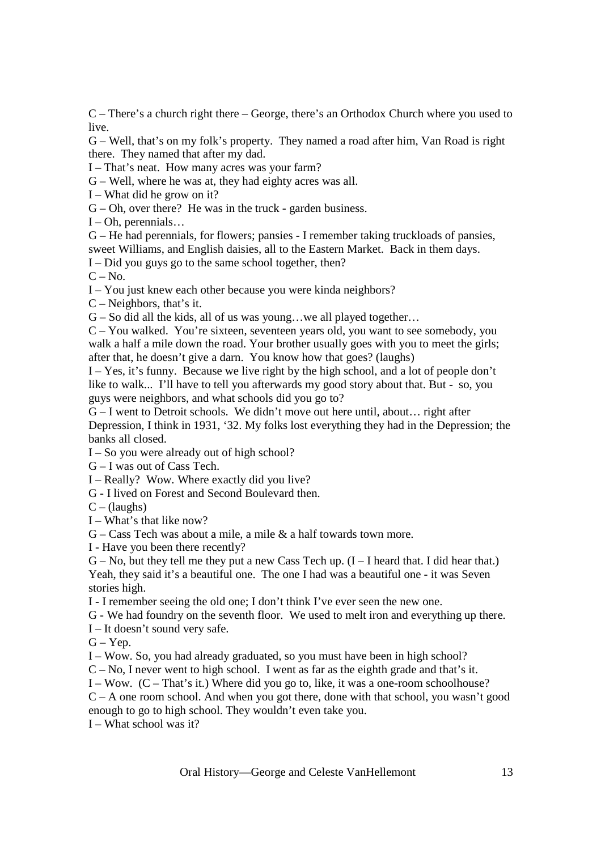C – There's a church right there – George, there's an Orthodox Church where you used to live.

G – Well, that's on my folk's property. They named a road after him, Van Road is right there. They named that after my dad.

I – That's neat. How many acres was your farm?

G – Well, where he was at, they had eighty acres was all.

I – What did he grow on it?

G – Oh, over there? He was in the truck - garden business.

 $I - Oh$ , perennials...

G – He had perennials, for flowers; pansies - I remember taking truckloads of pansies, sweet Williams, and English daisies, all to the Eastern Market. Back in them days.

I – Did you guys go to the same school together, then?

 $C - No.$ 

I – You just knew each other because you were kinda neighbors?

C – Neighbors, that's it.

G – So did all the kids, all of us was young…we all played together…

C – You walked. You're sixteen, seventeen years old, you want to see somebody, you walk a half a mile down the road. Your brother usually goes with you to meet the girls; after that, he doesn't give a darn. You know how that goes? (laughs)

I – Yes, it's funny. Because we live right by the high school, and a lot of people don't like to walk... I'll have to tell you afterwards my good story about that. But - so, you guys were neighbors, and what schools did you go to?

G – I went to Detroit schools. We didn't move out here until, about… right after Depression, I think in 1931, '32. My folks lost everything they had in the Depression; the banks all closed.

I – So you were already out of high school?

G – I was out of Cass Tech.

I – Really? Wow. Where exactly did you live?

G - I lived on Forest and Second Boulevard then.

 $C - ($ laughs $)$ 

I – What's that like now?

 $G - \text{Cass}$  Tech was about a mile, a mile  $\&$  a half towards town more.

I - Have you been there recently?

 $G - No$ , but they tell me they put a new Cass Tech up.  $(I - I)$  heard that. I did hear that.) Yeah, they said it's a beautiful one. The one I had was a beautiful one - it was Seven

stories high.

I - I remember seeing the old one; I don't think I've ever seen the new one.

G - We had foundry on the seventh floor. We used to melt iron and everything up there.

I – It doesn't sound very safe.

 $G - Yep.$ 

I – Wow. So, you had already graduated, so you must have been in high school?

 $C - No$ , I never went to high school. I went as far as the eighth grade and that's it.

I – Wow. (C – That's it.) Where did you go to, like, it was a one-room schoolhouse?

C – A one room school. And when you got there, done with that school, you wasn't good enough to go to high school. They wouldn't even take you.

 $I - What school was it?$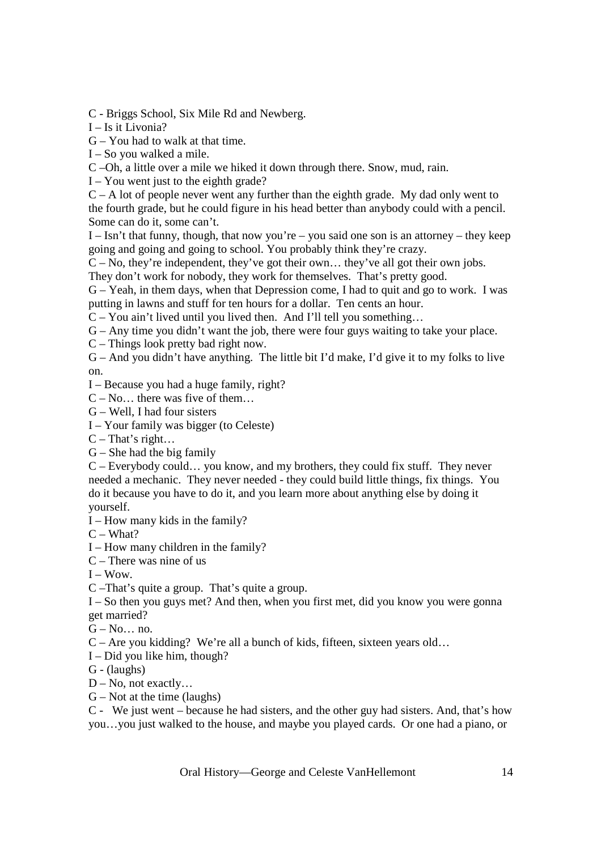C - Briggs School, Six Mile Rd and Newberg.

I – Is it Livonia?

G – You had to walk at that time.

I – So you walked a mile.

C –Oh, a little over a mile we hiked it down through there. Snow, mud, rain.

 $I - You$  went just to the eighth grade?

 $C - A$  lot of people never went any further than the eighth grade. My dad only went to the fourth grade, but he could figure in his head better than anybody could with a pencil. Some can do it, some can't.

 $I - Isn't that funny, though, that now you're – you said one son is an attempt – they keep$ going and going and going to school. You probably think they're crazy.

 $C - No$ , they're independent, they've got their own... they've all got their own jobs. They don't work for nobody, they work for themselves. That's pretty good.

G – Yeah, in them days, when that Depression come, I had to quit and go to work. I was putting in lawns and stuff for ten hours for a dollar. Ten cents an hour.

C – You ain't lived until you lived then. And I'll tell you something…

G – Any time you didn't want the job, there were four guys waiting to take your place.

C – Things look pretty bad right now.

G – And you didn't have anything. The little bit I'd make, I'd give it to my folks to live on.

I – Because you had a huge family, right?

 $C - No...$  there was five of them...

G – Well, I had four sisters

I – Your family was bigger (to Celeste)

 $C$  – That's right...

 $G$  – She had the big family

C – Everybody could… you know, and my brothers, they could fix stuff. They never needed a mechanic. They never needed - they could build little things, fix things. You do it because you have to do it, and you learn more about anything else by doing it yourself.

I – How many kids in the family?

C – What?

I – How many children in the family?

 $C$  – There was nine of us

 $I - Wow$ .

C –That's quite a group. That's quite a group.

I – So then you guys met? And then, when you first met, did you know you were gonna get married?

 $G - No...$  no.

C – Are you kidding? We're all a bunch of kids, fifteen, sixteen years old…

I – Did you like him, though?

G - (laughs)

 $D - No$ , not exactly...

 $G$  – Not at the time (laughs)

C - We just went – because he had sisters, and the other guy had sisters. And, that's how you…you just walked to the house, and maybe you played cards. Or one had a piano, or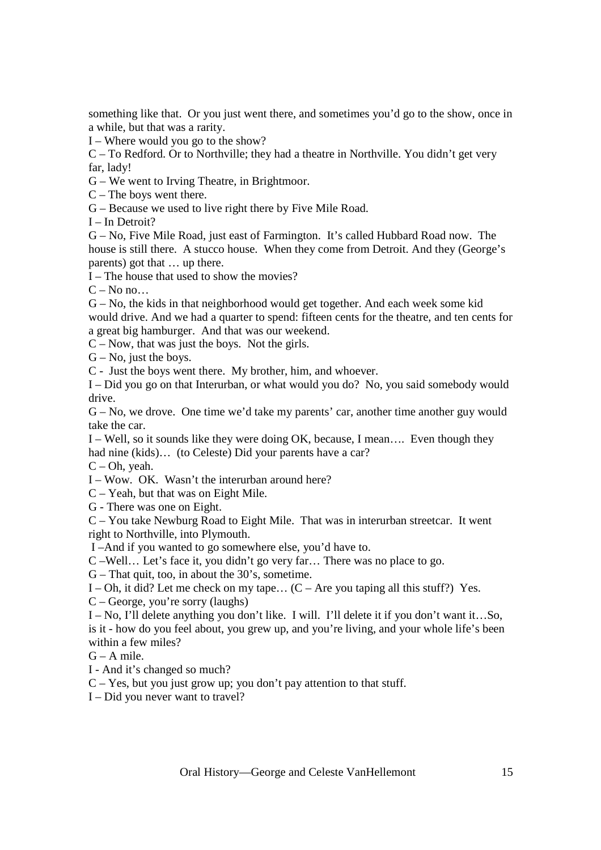something like that. Or you just went there, and sometimes you'd go to the show, once in a while, but that was a rarity.

I – Where would you go to the show?

C – To Redford. Or to Northville; they had a theatre in Northville. You didn't get very far, lady!

G – We went to Irving Theatre, in Brightmoor.

C – The boys went there.

G – Because we used to live right there by Five Mile Road.

I – In Detroit?

G – No, Five Mile Road, just east of Farmington. It's called Hubbard Road now. The house is still there. A stucco house. When they come from Detroit. And they (George's parents) got that … up there.

I – The house that used to show the movies?

 $C - No$  no...

G – No, the kids in that neighborhood would get together. And each week some kid would drive. And we had a quarter to spend: fifteen cents for the theatre, and ten cents for a great big hamburger. And that was our weekend.

C – Now, that was just the boys. Not the girls.

 $G - No$ , just the boys.

C - Just the boys went there. My brother, him, and whoever.

I – Did you go on that Interurban, or what would you do? No, you said somebody would drive.

G – No, we drove. One time we'd take my parents' car, another time another guy would take the car.

I – Well, so it sounds like they were doing OK, because, I mean…. Even though they had nine (kids)... (to Celeste) Did your parents have a car?

 $C - Oh$ , yeah.

I – Wow. OK. Wasn't the interurban around here?

C – Yeah, but that was on Eight Mile.

G - There was one on Eight.

C – You take Newburg Road to Eight Mile. That was in interurban streetcar. It went right to Northville, into Plymouth.

I –And if you wanted to go somewhere else, you'd have to.

C –Well… Let's face it, you didn't go very far… There was no place to go.

G – That quit, too, in about the 30's, sometime.

I – Oh, it did? Let me check on my tape...  $(C - Are$  you taping all this stuff?) Yes.

C – George, you're sorry (laughs)

I – No, I'll delete anything you don't like. I will. I'll delete it if you don't want it…So, is it - how do you feel about, you grew up, and you're living, and your whole life's been within a few miles?

 $G - A$  mile.

I - And it's changed so much?

C – Yes, but you just grow up; you don't pay attention to that stuff.

I – Did you never want to travel?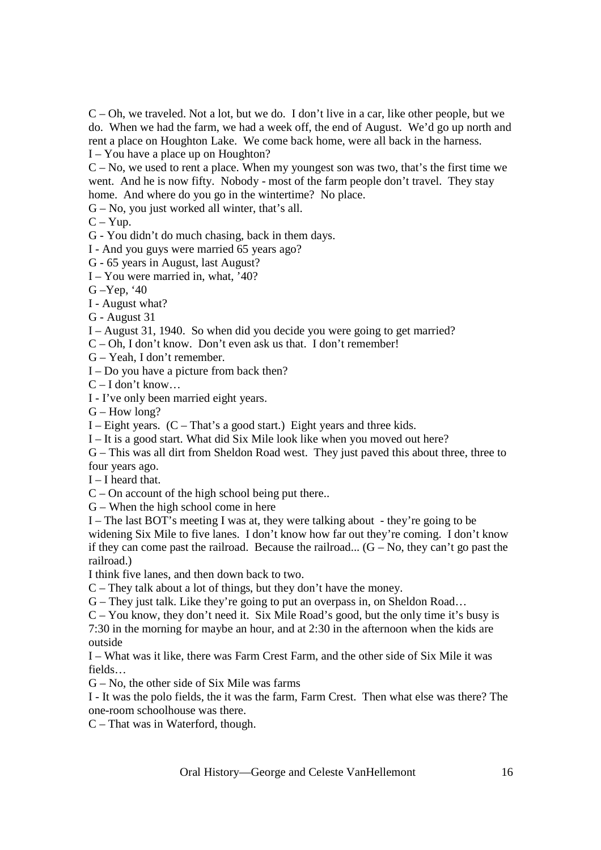C – Oh, we traveled. Not a lot, but we do. I don't live in a car, like other people, but we do. When we had the farm, we had a week off, the end of August. We'd go up north and rent a place on Houghton Lake. We come back home, were all back in the harness. I – You have a place up on Houghton?

 $C - No$ , we used to rent a place. When my youngest son was two, that's the first time we went. And he is now fifty. Nobody - most of the farm people don't travel. They stay home. And where do you go in the wintertime? No place.

G – No, you just worked all winter, that's all.

 $C - Y$ up.

G - You didn't do much chasing, back in them days.

I - And you guys were married 65 years ago?

G - 65 years in August, last August?

I – You were married in, what, '40?

G –Yep, '40

I - August what?

G - August 31

I – August 31, 1940. So when did you decide you were going to get married?

C – Oh, I don't know. Don't even ask us that. I don't remember!

G – Yeah, I don't remember.

I – Do you have a picture from back then?

 $C - I$  don't know...

I - I've only been married eight years.

G – How long?

I – Eight years.  $(C - That's a good start.)$  Eight years and three kids.

I – It is a good start. What did Six Mile look like when you moved out here?

G – This was all dirt from Sheldon Road west. They just paved this about three, three to four years ago.

 $I - I$  heard that.

 $C$  – On account of the high school being put there..

G – When the high school come in here

I – The last BOT's meeting I was at, they were talking about - they're going to be widening Six Mile to five lanes. I don't know how far out they're coming. I don't know if they can come past the railroad. Because the railroad...  $(G - No, \text{ they can't go past the})$ railroad.)

I think five lanes, and then down back to two.

C – They talk about a lot of things, but they don't have the money.

G – They just talk. Like they're going to put an overpass in, on Sheldon Road…

C – You know, they don't need it. Six Mile Road's good, but the only time it's busy is 7:30 in the morning for maybe an hour, and at 2:30 in the afternoon when the kids are outside

I – What was it like, there was Farm Crest Farm, and the other side of Six Mile it was fields…

G – No, the other side of Six Mile was farms

I - It was the polo fields, the it was the farm, Farm Crest. Then what else was there? The one-room schoolhouse was there.

C – That was in Waterford, though.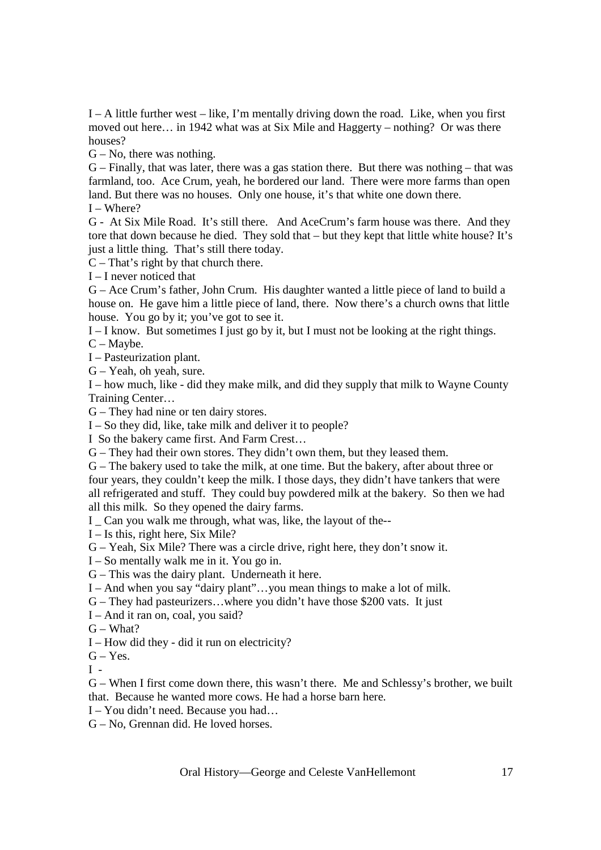I – A little further west – like, I'm mentally driving down the road. Like, when you first moved out here… in 1942 what was at Six Mile and Haggerty – nothing? Or was there houses?

 $G - No$ , there was nothing.

G – Finally, that was later, there was a gas station there. But there was nothing – that was farmland, too. Ace Crum, yeah, he bordered our land. There were more farms than open land. But there was no houses. Only one house, it's that white one down there.

I – Where?

G - At Six Mile Road. It's still there. And AceCrum's farm house was there. And they tore that down because he died. They sold that – but they kept that little white house? It's just a little thing. That's still there today.

 $C - That's$  right by that church there.

I – I never noticed that

G – Ace Crum's father, John Crum. His daughter wanted a little piece of land to build a house on. He gave him a little piece of land, there. Now there's a church owns that little house. You go by it; you've got to see it.

I – I know. But sometimes I just go by it, but I must not be looking at the right things.

C – Maybe.

I – Pasteurization plant.

G – Yeah, oh yeah, sure.

I – how much, like - did they make milk, and did they supply that milk to Wayne County Training Center…

G – They had nine or ten dairy stores.

I – So they did, like, take milk and deliver it to people?

I So the bakery came first. And Farm Crest…

G – They had their own stores. They didn't own them, but they leased them.

G – The bakery used to take the milk, at one time. But the bakery, after about three or four years, they couldn't keep the milk. I those days, they didn't have tankers that were all refrigerated and stuff. They could buy powdered milk at the bakery. So then we had all this milk. So they opened the dairy farms.

I \_ Can you walk me through, what was, like, the layout of the--

I – Is this, right here, Six Mile?

G – Yeah, Six Mile? There was a circle drive, right here, they don't snow it.

I – So mentally walk me in it. You go in.

G – This was the dairy plant. Underneath it here.

I – And when you say "dairy plant"…you mean things to make a lot of milk.

G – They had pasteurizers…where you didn't have those \$200 vats. It just

I – And it ran on, coal, you said?

 $G - What?$ 

I – How did they - did it run on electricity?

 $G - Yes.$ 

 $I -$ 

G – When I first come down there, this wasn't there. Me and Schlessy's brother, we built that. Because he wanted more cows. He had a horse barn here.

I – You didn't need. Because you had…

G – No, Grennan did. He loved horses.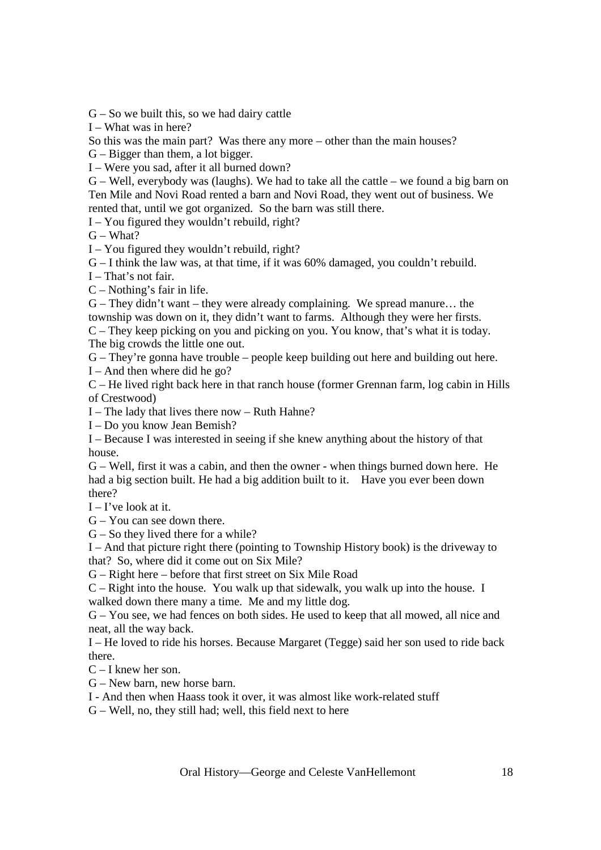$G - So$  we built this, so we had dairy cattle

I – What was in here?

So this was the main part? Was there any more – other than the main houses?

G – Bigger than them, a lot bigger.

I – Were you sad, after it all burned down?

G – Well, everybody was (laughs). We had to take all the cattle – we found a big barn on Ten Mile and Novi Road rented a barn and Novi Road, they went out of business. We rented that, until we got organized. So the barn was still there.

I – You figured they wouldn't rebuild, right?

 $G - What?$ 

I – You figured they wouldn't rebuild, right?

G – I think the law was, at that time, if it was 60% damaged, you couldn't rebuild.

I – That's not fair.

C – Nothing's fair in life.

G – They didn't want – they were already complaining. We spread manure… the township was down on it, they didn't want to farms. Although they were her firsts. C – They keep picking on you and picking on you. You know, that's what it is today.

The big crowds the little one out.

G – They're gonna have trouble – people keep building out here and building out here.  $I - And$  then where did he go?

C – He lived right back here in that ranch house (former Grennan farm, log cabin in Hills of Crestwood)

I – The lady that lives there now – Ruth Hahne?

I – Do you know Jean Bemish?

I – Because I was interested in seeing if she knew anything about the history of that house.

G – Well, first it was a cabin, and then the owner - when things burned down here. He had a big section built. He had a big addition built to it. Have you ever been down there?

 $I - I'$  ve look at it.

G – You can see down there.

G – So they lived there for a while?

I – And that picture right there (pointing to Township History book) is the driveway to that? So, where did it come out on Six Mile?

G – Right here – before that first street on Six Mile Road

C – Right into the house. You walk up that sidewalk, you walk up into the house. I walked down there many a time. Me and my little dog.

G – You see, we had fences on both sides. He used to keep that all mowed, all nice and neat, all the way back.

I – He loved to ride his horses. Because Margaret (Tegge) said her son used to ride back there.

C – I knew her son.

G – New barn, new horse barn.

I - And then when Haass took it over, it was almost like work-related stuff

G – Well, no, they still had; well, this field next to here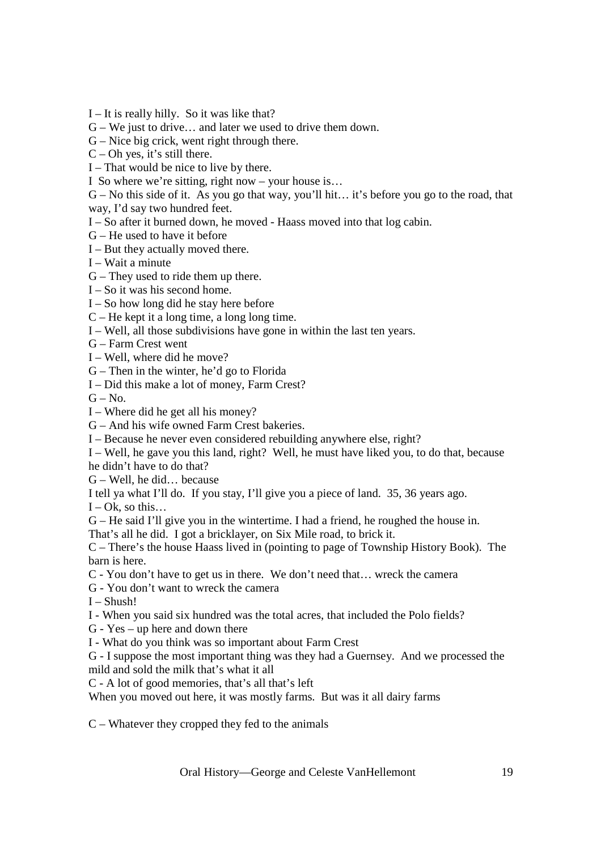I – It is really hilly. So it was like that?

G – We just to drive… and later we used to drive them down.

G – Nice big crick, went right through there.

 $C$  – Oh yes, it's still there.

I – That would be nice to live by there.

I So where we're sitting, right now – your house is…

G – No this side of it. As you go that way, you'll hit… it's before you go to the road, that

way, I'd say two hundred feet.

I – So after it burned down, he moved - Haass moved into that log cabin.

G – He used to have it before

I – But they actually moved there.

I – Wait a minute

G – They used to ride them up there.

I – So it was his second home.

I – So how long did he stay here before

C – He kept it a long time, a long long time.

I – Well, all those subdivisions have gone in within the last ten years.

G – Farm Crest went

I – Well, where did he move?

G – Then in the winter, he'd go to Florida

I – Did this make a lot of money, Farm Crest?

 $G - No.$ 

I – Where did he get all his money?

G – And his wife owned Farm Crest bakeries.

I – Because he never even considered rebuilding anywhere else, right?

I – Well, he gave you this land, right? Well, he must have liked you, to do that, because he didn't have to do that?

G – Well, he did… because

I tell ya what I'll do. If you stay, I'll give you a piece of land. 35, 36 years ago.

 $I - Ok$ , so this...

G – He said I'll give you in the wintertime. I had a friend, he roughed the house in.

That's all he did. I got a bricklayer, on Six Mile road, to brick it.

C – There's the house Haass lived in (pointing to page of Township History Book). The barn is here.

C - You don't have to get us in there. We don't need that… wreck the camera

G - You don't want to wreck the camera

 $I - Shush!$ 

I - When you said six hundred was the total acres, that included the Polo fields?

G - Yes – up here and down there

I - What do you think was so important about Farm Crest

G - I suppose the most important thing was they had a Guernsey. And we processed the mild and sold the milk that's what it all

C - A lot of good memories, that's all that's left

When you moved out here, it was mostly farms. But was it all dairy farms

C – Whatever they cropped they fed to the animals